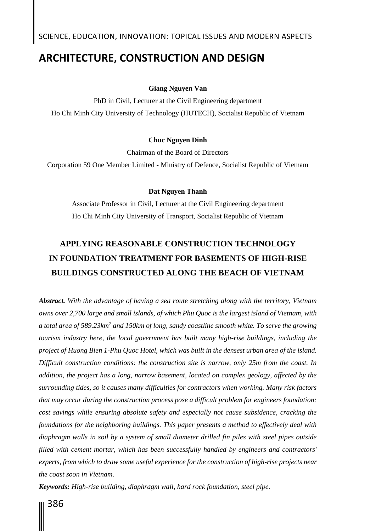## **ARCHITECTURE, CONSTRUCTION AND DESIGN**

#### **Giang Nguyen Van**

PhD in Civil, Lecturer at the Civil Engineering department Ho Chi Minh City University of Technology (HUTECH), Socialist Republic of Vietnam

#### **Chuc Nguyen Dinh**

Chairman of the Board of Directors

Corporation 59 One Member Limited - Ministry of Defence, Socialist Republic of Vietnam

#### **Dat Nguyen Thanh**

Associate Professor in Civil, Lecturer at the Civil Engineering department Ho Chi Minh City University of Transport, Socialist Republic of Vietnam

# **APPLYING REASONABLE CONSTRUCTION TECHNOLOGY IN FOUNDATION TREATMENT FOR BASEMENTS OF HIGH-RISE BUILDINGS CONSTRUCTED ALONG THE BEACH OF VIETNAM**

*Abstract. With the advantage of having a sea route stretching along with the territory, Vietnam owns over 2,700 large and small islands, of which Phu Quoc is the largest island of Vietnam, with a total area of 589.23km<sup>2</sup> and 150km of long, sandy coastline smooth white. To serve the growing tourism industry here, the local government has built many high-rise buildings, including the project of Huong Bien 1-Phu Quoc Hotel, which was built in the densest urban area of the island. Difficult construction conditions: the construction site is narrow, only 25m from the coast. In addition, the project has a long, narrow basement, located on complex geology, affected by the surrounding tides, so it causes many difficulties for contractors when working. Many risk factors that may occur during the construction process pose a difficult problem for engineers foundation: cost savings while ensuring absolute safety and especially not cause subsidence, cracking the foundations for the neighboring buildings. This paper presents a method to effectively deal with diaphragm walls in soil by a system of small diameter drilled fin piles with steel pipes outside filled with cement mortar, which has been successfully handled by engineers and contractors' experts, from which to draw some useful experience for the construction of high-rise projects near the coast soon in Vietnam.*

*Keywords: High-rise building, diaphragm wall, hard rock foundation, steel pipe.*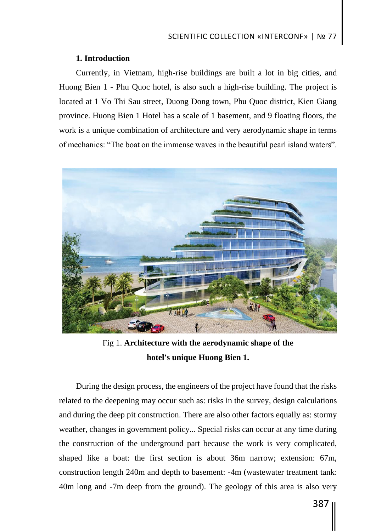## **1. Introduction**

Currently, in Vietnam, high-rise buildings are built a lot in big cities, and Huong Bien 1 - Phu Quoc hotel, is also such a high-rise building. The project is located at 1 Vo Thi Sau street, Duong Dong town, Phu Quoc district, Kien Giang province. Huong Bien 1 Hotel has a scale of 1 basement, and 9 floating floors, the work is a unique combination of architecture and very aerodynamic shape in terms of mechanics: "The boat on the immense waves in the beautiful pearl island waters".



Fig 1. **Architecture with the aerodynamic shape of the hotel's unique Huong Bien 1.**

During the design process, the engineers of the project have found that the risks related to the deepening may occur such as: risks in the survey, design calculations and during the deep pit construction. There are also other factors equally as: stormy weather, changes in government policy... Special risks can occur at any time during the construction of the underground part because the work is very complicated, shaped like a boat: the first section is about 36m narrow; extension: 67m, construction length 240m and depth to basement: -4m (wastewater treatment tank: 40m long and -7m deep from the ground). The geology of this area is also very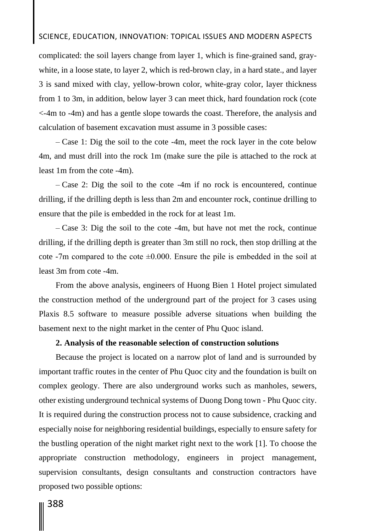## SCIENCE, EDUCATION, INNOVATION: TOPICAL ISSUES AND MODERN ASPECTS

complicated: the soil layers change from layer 1, which is fine-grained sand, graywhite, in a loose state, to layer 2, which is red-brown clay, in a hard state., and layer 3 is sand mixed with clay, yellow-brown color, white-gray color, layer thickness from 1 to 3m, in addition, below layer 3 can meet thick, hard foundation rock (cote <-4m to -4m) and has a gentle slope towards the coast. Therefore, the analysis and calculation of basement excavation must assume in 3 possible cases:

– Case 1: Dig the soil to the cote -4m, meet the rock layer in the cote below 4m, and must drill into the rock 1m (make sure the pile is attached to the rock at least 1m from the cote -4m).

– Case 2: Dig the soil to the cote -4m if no rock is encountered, continue drilling, if the drilling depth is less than 2m and encounter rock, continue drilling to ensure that the pile is embedded in the rock for at least 1m.

– Case 3: Dig the soil to the cote -4m, but have not met the rock, continue drilling, if the drilling depth is greater than 3m still no rock, then stop drilling at the cote -7m compared to the cote  $\pm 0.000$ . Ensure the pile is embedded in the soil at least 3m from cote -4m.

From the above analysis, engineers of Huong Bien 1 Hotel project simulated the construction method of the underground part of the project for 3 cases using Plaxis 8.5 software to measure possible adverse situations when building the basement next to the night market in the center of Phu Quoc island.

### **2. Analysis of the reasonable selection of construction solutions**

Because the project is located on a narrow plot of land and is surrounded by important traffic routes in the center of Phu Quoc city and the foundation is built on complex geology. There are also underground works such as manholes, sewers, other existing underground technical systems of Duong Dong town - Phu Quoc city. It is required during the construction process not to cause subsidence, cracking and especially noise for neighboring residential buildings, especially to ensure safety for the bustling operation of the night market right next to the work [1]. To choose the appropriate construction methodology, engineers in project management, supervision consultants, design consultants and construction contractors have proposed two possible options: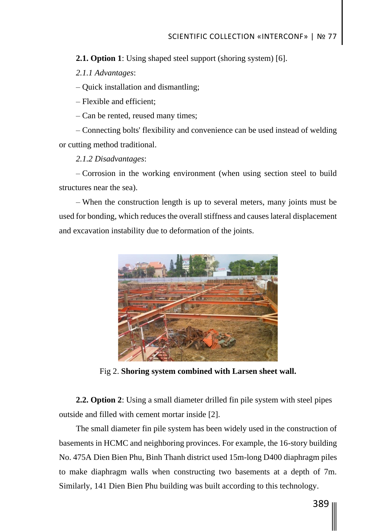**2.1. Option 1**: Using shaped steel support (shoring system) [6].

*2.1.1 Advantages*:

– Quick installation and dismantling;

– Flexible and efficient;

– Can be rented, reused many times;

– Connecting bolts' flexibility and convenience can be used instead of welding or cutting method traditional.

*2.1.2 Disadvantages*:

– Corrosion in the working environment (when using section steel to build structures near the sea).

– When the construction length is up to several meters, many joints must be used for bonding, which reduces the overall stiffness and causes lateral displacement and excavation instability due to deformation of the joints.



Fig 2. **Shoring system combined with Larsen sheet wall.**

**2.2. Option 2**: Using a small diameter drilled fin pile system with steel pipes outside and filled with cement mortar inside [2].

The small diameter fin pile system has been widely used in the construction of basements in HCMC and neighboring provinces. For example, the 16-story building No. 475A Dien Bien Phu, Binh Thanh district used 15m-long D400 diaphragm piles to make diaphragm walls when constructing two basements at a depth of 7m. Similarly, 141 Dien Bien Phu building was built according to this technology.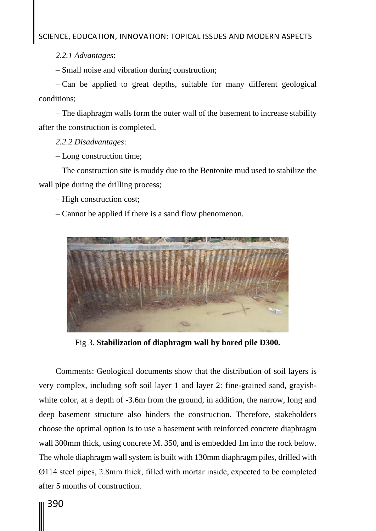SCIENCE, EDUCATION, INNOVATION: TOPICAL ISSUES AND MODERN ASPECTS

*2.2.1 Advantages*:

– Small noise and vibration during construction;

– Can be applied to great depths, suitable for many different geological conditions;

– The diaphragm walls form the outer wall of the basement to increase stability after the construction is completed.

*2.2.2 Disadvantages*:

– Long construction time;

– The construction site is muddy due to the Bentonite mud used to stabilize the wall pipe during the drilling process;

– High construction cost;

– Cannot be applied if there is a sand flow phenomenon.



Fig 3. **Stabilization of diaphragm wall by bored pile D300.**

Comments: Geological documents show that the distribution of soil layers is very complex, including soft soil layer 1 and layer 2: fine-grained sand, grayishwhite color, at a depth of  $-3.6m$  from the ground, in addition, the narrow, long and deep basement structure also hinders the construction. Therefore, stakeholders choose the optimal option is to use a basement with reinforced concrete diaphragm wall 300mm thick, using concrete M. 350, and is embedded 1m into the rock below. The whole diaphragm wall system is built with 130mm diaphragm piles, drilled with Ø114 steel pipes, 2.8mm thick, filled with mortar inside, expected to be completed after 5 months of construction.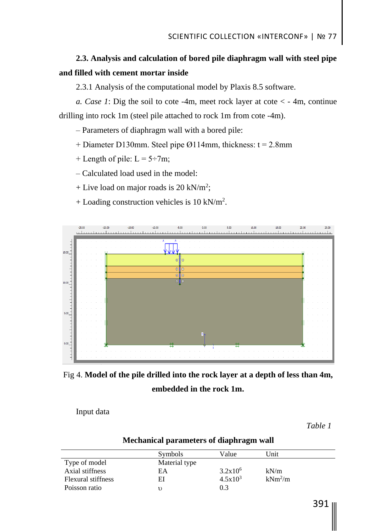## **2.3. Analysis and calculation of bored pile diaphragm wall with steel pipe and filled with cement mortar inside**

2.3.1 Analysis of the computational model by Plaxis 8.5 software.

*a. Case 1*: Dig the soil to cote -4m, meet rock layer at cote < - 4m, continue drilling into rock 1m (steel pile attached to rock 1m from cote -4m).

– Parameters of diaphragm wall with a bored pile:

+ Diameter D130mm. Steel pipe Ø114mm, thickness:  $t = 2.8$ mm

+ Length of pile:  $L = 5 \div 7m$ ;

– Calculated load used in the model:

+ Live load on major roads is  $20 \text{ kN/m}^2$ ;

+ Loading construction vehicles is 10 kN/m<sup>2</sup>.





Input data

*Table 1*

## **Mechanical parameters of diaphragm wall**

|                           | Symbols       | Value        | Unit      |  |
|---------------------------|---------------|--------------|-----------|--|
| Type of model             | Material type |              |           |  |
| Axial stiffness           | EA            | $3.2x10^6$   | kN/m      |  |
| <b>Flexural stiffness</b> | ΕI            | $4.5x10^{3}$ | $kNm^2/m$ |  |
| Poisson ratio             |               | 0.3          |           |  |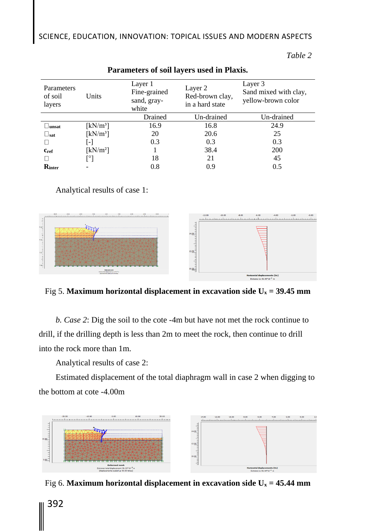| Parameters<br>of soil<br>layers | Units                          | Layer 1<br>Fine-grained<br>sand, gray-<br>white | Layer 2<br>Red-brown clay,<br>in a hard state | Layer 3<br>Sand mixed with clay,<br>yellow-brown color |  |
|---------------------------------|--------------------------------|-------------------------------------------------|-----------------------------------------------|--------------------------------------------------------|--|
|                                 |                                | Drained                                         | Un-drained                                    | Un-drained                                             |  |
| $\Box$ unsat                    | $[kN/m^3]$                     | 16.9                                            | 16.8                                          | 24.9                                                   |  |
| $\square_{\text{sat}}$          | $\left[\mathrm{kN/m^3}\right]$ | 20                                              | 20.6                                          | 25                                                     |  |
|                                 | $\lbrack - \rbrack$            | 0.3                                             | 0.3                                           | 0.3                                                    |  |
| $c_{ref}$                       | $\left[\mathrm{kN/m^2}\right]$ |                                                 | 38.4                                          | 200                                                    |  |
|                                 | .<br> <br>                     | 18                                              | 21                                            | 45                                                     |  |
| Rinter                          |                                | 0.8                                             | 0.9                                           | 0.5                                                    |  |

## **Parameters of soil layers used in Plaxis.**

*Table 2*

## Analytical results of case 1:



Fig 5. **Maximum horizontal displacement in excavation side**  $U_x = 39.45$  **mm** 

*b. Case 2*: Dig the soil to the cote -4m but have not met the rock continue to drill, if the drilling depth is less than 2m to meet the rock, then continue to drill into the rock more than 1m.

Analytical results of case 2:

Estimated displacement of the total diaphragm wall in case 2 when digging to the bottom at cote -4.00m



Fig 6. **Maximum horizontal displacement in excavation side**  $U_x = 45.44$  **mm**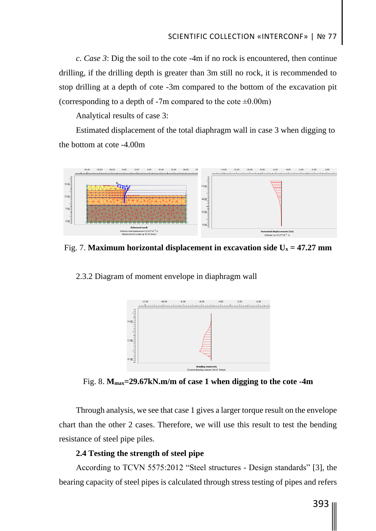*c. Case 3*: Dig the soil to the cote -4m if no rock is encountered, then continue drilling, if the drilling depth is greater than 3m still no rock, it is recommended to stop drilling at a depth of cote -3m compared to the bottom of the excavation pit (corresponding to a depth of  $-7m$  compared to the cote  $\pm 0.00m$ )

Analytical results of case 3:

Estimated displacement of the total diaphragm wall in case 3 when digging to the bottom at cote -4.00m



Fig. 7. **Maximum horizontal displacement in excavation side**  $U_x = 47.27$  **mm** 

2.3.2 Diagram of moment envelope in diaphragm wall



Fig. 8. **Mmax=29.67kN.m/m of case 1 when digging to the cote -4m**

Through analysis, we see that case 1 gives a larger torque result on the envelope chart than the other 2 cases. Therefore, we will use this result to test the bending resistance of steel pipe piles.

## **2.4 Testing the strength of steel pipe**

According to TCVN 5575:2012 "Steel structures - Design standards" [3], the bearing capacity of steel pipes is calculated through stress testing of pipes and refers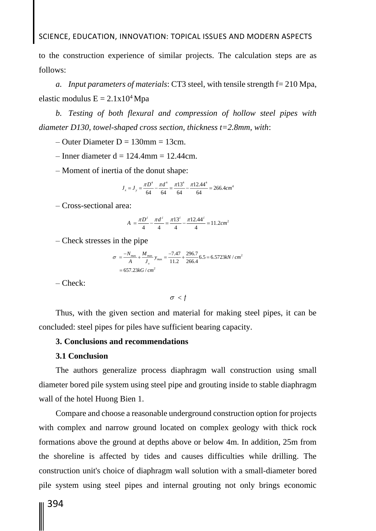to the construction experience of similar projects. The calculation steps are as follows:

*a. Input parameters of materials*: CT3 steel, with tensile strength f= 210 Mpa, elastic modulus  $E = 2.1x10^4 Mpa$ 

*b. Testing of both flexural and compression of hollow steel pipes with diameter D130, towel-shaped cross section, thickness t=2.8mm, with*:

 $-$  Outer Diameter D = 130mm = 13cm.

 $-$  Inner diameter d = 124.4mm = 12.44cm.

– Moment of inertia of the donut shape:

$$
J_x = J_y = \frac{\pi D^4}{64} - \frac{\pi d^4}{64} = \frac{\pi 13^4}{64} - \frac{\pi 12.44^4}{64} = 266.4 \text{cm}^4
$$

– Cross-sectional area:

$$
A = \frac{\pi D^2}{4} - \frac{\pi d^2}{4} = \frac{\pi 13^2}{4} - \frac{\pi 12.44^2}{4} = 11.2 \text{cm}^2
$$

– Check stresses in the pipe

$$
\sigma = \frac{-N_{\text{max}}}{A} + \frac{M_{\text{max}}}{J_x} y_{\text{max}} = \frac{-7.47}{11.2} + \frac{296.7}{266.4} 6.5 = 6.5723 \text{kN} / \text{cm}^2
$$

$$
= 657.23 \text{kG} / \text{cm}^2
$$

– Check:

 $\sigma < f$ 

Thus, with the given section and material for making steel pipes, it can be concluded: steel pipes for piles have sufficient bearing capacity.

### **3. Conclusions and recommendations**

#### **3.1 Conclusion**

The authors generalize process diaphragm wall construction using small diameter bored pile system using steel pipe and grouting inside to stable diaphragm wall of the hotel Huong Bien 1.

Compare and choose a reasonable underground construction option for projects with complex and narrow ground located on complex geology with thick rock formations above the ground at depths above or below 4m. In addition, 25m from the shoreline is affected by tides and causes difficulties while drilling. The construction unit's choice of diaphragm wall solution with a small-diameter bored pile system using steel pipes and internal grouting not only brings economic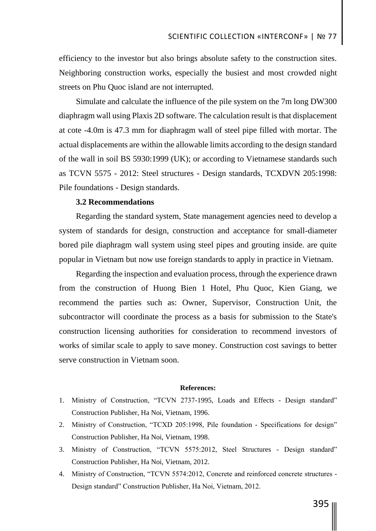efficiency to the investor but also brings absolute safety to the construction sites. Neighboring construction works, especially the busiest and most crowded night streets on Phu Quoc island are not interrupted.

Simulate and calculate the influence of the pile system on the 7m long DW300 diaphragm wall using Plaxis 2D software. The calculation result is that displacement at cote -4.0m is 47.3 mm for diaphragm wall of steel pipe filled with mortar. The actual displacements are within the allowable limits according to the design standard of the wall in soil BS 5930:1999 (UK); or according to Vietnamese standards such as TCVN 5575 - 2012: Steel structures - Design standards, TCXDVN 205:1998: Pile foundations - Design standards.

### **3.2 Recommendations**

Regarding the standard system, State management agencies need to develop a system of standards for design, construction and acceptance for small-diameter bored pile diaphragm wall system using steel pipes and grouting inside. are quite popular in Vietnam but now use foreign standards to apply in practice in Vietnam.

Regarding the inspection and evaluation process, through the experience drawn from the construction of Huong Bien 1 Hotel, Phu Quoc, Kien Giang, we recommend the parties such as: Owner, Supervisor, Construction Unit, the subcontractor will coordinate the process as a basis for submission to the State's construction licensing authorities for consideration to recommend investors of works of similar scale to apply to save money. Construction cost savings to better serve construction in Vietnam soon.

#### **References:**

- 1. Ministry of Construction, "TCVN 2737-1995, Loads and Effects Design standard" Construction Publisher, Ha Noi, Vietnam, 1996.
- 2. Ministry of Construction, "TCXD 205:1998, Pile foundation Specifications for design" Construction Publisher, Ha Noi, Vietnam, 1998.
- 3. Ministry of Construction, "TCVN 5575:2012, Steel Structures Design standard" Construction Publisher, Ha Noi, Vietnam, 2012.
- 4. Ministry of Construction, "TCVN 5574:2012, Concrete and reinforced concrete structures Design standard" Construction Publisher, Ha Noi, Vietnam, 2012.